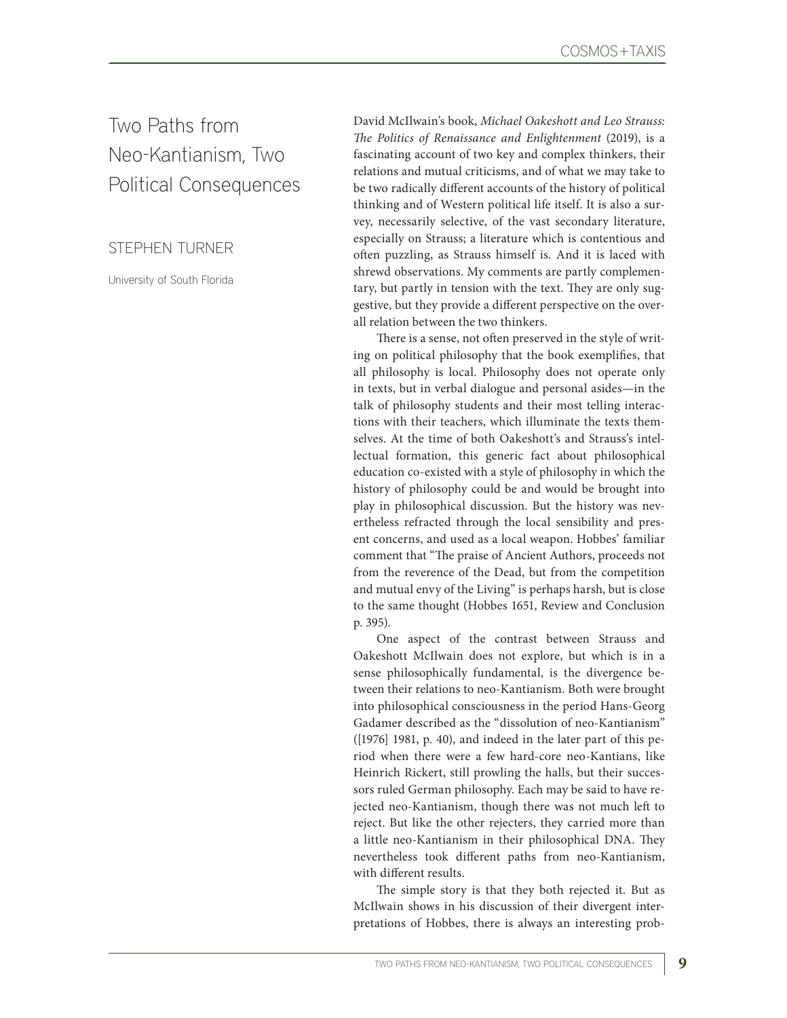Two Paths from Neo-Kantianism, Two Political Consequences

STEPHEN TURNER

University of South Florida

David McIlwain's book, *Michael Oakeshott and Leo Strauss: The Politics of Renaissance and Enlightenment* (2019), is a fascinating account of two key and complex thinkers, their relations and mutual criticisms, and of what we may take to be two radically different accounts of the history of political thinking and of Western political life itself. It is also a survey, necessarily selective, of the vast secondary literature, especially on Strauss; a literature which is contentious and often puzzling, as Strauss himself is. And it is laced with shrewd observations. My comments are partly complementary, but partly in tension with the text. They are only suggestive, but they provide a different perspective on the overall relation between the two thinkers.

There is a sense, not often preserved in the style of writing on political philosophy that the book exemplifies, that all philosophy is local. Philosophy does not operate only in texts, but in verbal dialogue and personal asides—in the talk of philosophy students and their most telling interactions with their teachers, which illuminate the texts themselves. At the time of both Oakeshott's and Strauss's intellectual formation, this generic fact about philosophical education co-existed with a style of philosophy in which the history of philosophy could be and would be brought into play in philosophical discussion. But the history was nevertheless refracted through the local sensibility and present concerns, and used as a local weapon. Hobbes' familiar comment that "The praise of Ancient Authors, proceeds not from the reverence of the Dead, but from the competition and mutual envy of the Living" is perhaps harsh, but is close to the same thought (Hobbes 1651, Review and Conclusion p. 395).

One aspect of the contrast between Strauss and Oakeshott McIlwain does not explore, but which is in a sense philosophically fundamental, is the divergence between their relations to neo-Kantianism. Both were brought into philosophical consciousness in the period Hans-Georg Gadamer described as the "dissolution of neo-Kantianism" ([1976] 1981, p. 40), and indeed in the later part of this period when there were a few hard-core neo-Kantians, like Heinrich Rickert, still prowling the halls, but their successors ruled German philosophy. Each may be said to have rejected neo-Kantianism, though there was not much left to reject. But like the other rejecters, they carried more than a little neo-Kantianism in their philosophical DNA. They nevertheless took different paths from neo-Kantianism, with different results.

The simple story is that they both rejected it. But as McIlwain shows in his discussion of their divergent interpretations of Hobbes, there is always an interesting prob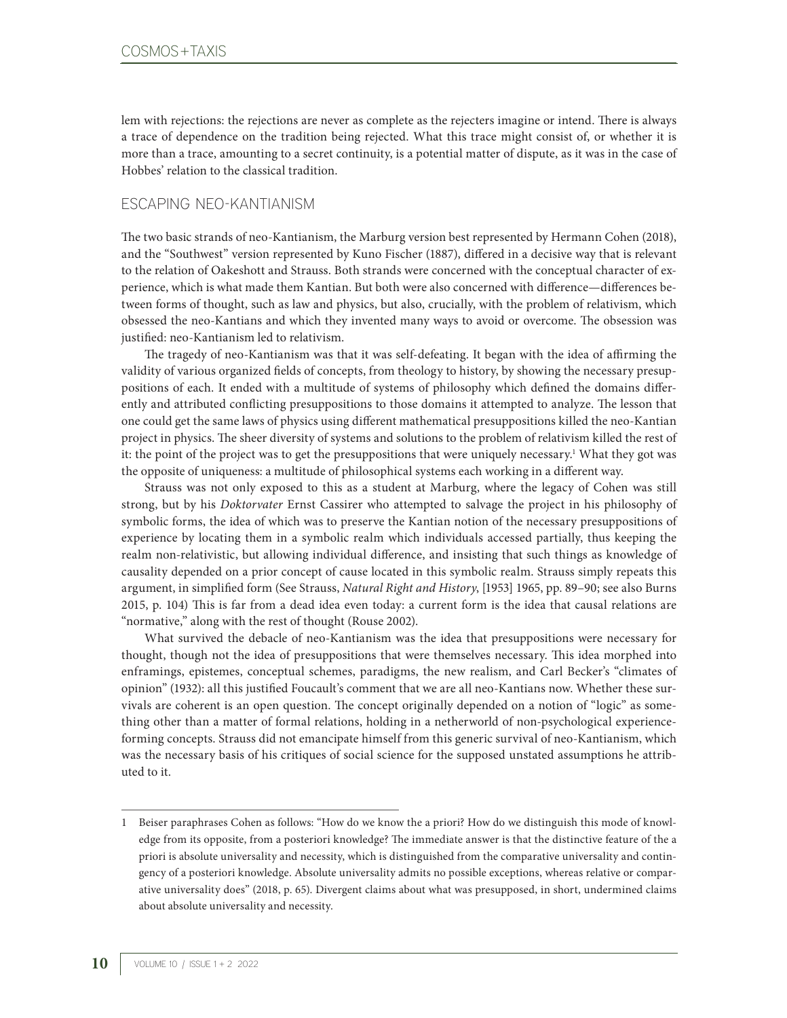lem with rejections: the rejections are never as complete as the rejecters imagine or intend. There is always a trace of dependence on the tradition being rejected. What this trace might consist of, or whether it is more than a trace, amounting to a secret continuity, is a potential matter of dispute, as it was in the case of Hobbes' relation to the classical tradition.

## ESCAPING NEO-KANTIANISM

The two basic strands of neo-Kantianism, the Marburg version best represented by Hermann Cohen (2018), and the "Southwest" version represented by Kuno Fischer (1887), differed in a decisive way that is relevant to the relation of Oakeshott and Strauss. Both strands were concerned with the conceptual character of experience, which is what made them Kantian. But both were also concerned with difference—differences between forms of thought, such as law and physics, but also, crucially, with the problem of relativism, which obsessed the neo-Kantians and which they invented many ways to avoid or overcome. The obsession was justified: neo-Kantianism led to relativism.

The tragedy of neo-Kantianism was that it was self-defeating. It began with the idea of affirming the validity of various organized fields of concepts, from theology to history, by showing the necessary presuppositions of each. It ended with a multitude of systems of philosophy which defined the domains differently and attributed conflicting presuppositions to those domains it attempted to analyze. The lesson that one could get the same laws of physics using different mathematical presuppositions killed the neo-Kantian project in physics. The sheer diversity of systems and solutions to the problem of relativism killed the rest of it: the point of the project was to get the presuppositions that were uniquely necessary.1 What they got was the opposite of uniqueness: a multitude of philosophical systems each working in a different way.

Strauss was not only exposed to this as a student at Marburg, where the legacy of Cohen was still strong, but by his *Doktorvater* Ernst Cassirer who attempted to salvage the project in his philosophy of symbolic forms, the idea of which was to preserve the Kantian notion of the necessary presuppositions of experience by locating them in a symbolic realm which individuals accessed partially, thus keeping the realm non-relativistic, but allowing individual difference, and insisting that such things as knowledge of causality depended on a prior concept of cause located in this symbolic realm. Strauss simply repeats this argument, in simplified form (See Strauss, *Natural Right and History*, [1953] 1965, pp. 89–90; see also Burns 2015, p. 104) This is far from a dead idea even today: a current form is the idea that causal relations are "normative," along with the rest of thought (Rouse 2002).

What survived the debacle of neo-Kantianism was the idea that presuppositions were necessary for thought, though not the idea of presuppositions that were themselves necessary. This idea morphed into enframings, epistemes, conceptual schemes, paradigms, the new realism, and Carl Becker's "climates of opinion" (1932): all this justified Foucault's comment that we are all neo-Kantians now. Whether these survivals are coherent is an open question. The concept originally depended on a notion of "logic" as something other than a matter of formal relations, holding in a netherworld of non-psychological experienceforming concepts. Strauss did not emancipate himself from this generic survival of neo-Kantianism, which was the necessary basis of his critiques of social science for the supposed unstated assumptions he attributed to it.

<sup>1</sup> Beiser paraphrases Cohen as follows: "How do we know the a priori? How do we distinguish this mode of knowledge from its opposite, from a posteriori knowledge? The immediate answer is that the distinctive feature of the a priori is absolute universality and necessity, which is distinguished from the comparative universality and contingency of a posteriori knowledge. Absolute universality admits no possible exceptions, whereas relative or comparative universality does" (2018, p. 65). Divergent claims about what was presupposed, in short, undermined claims about absolute universality and necessity.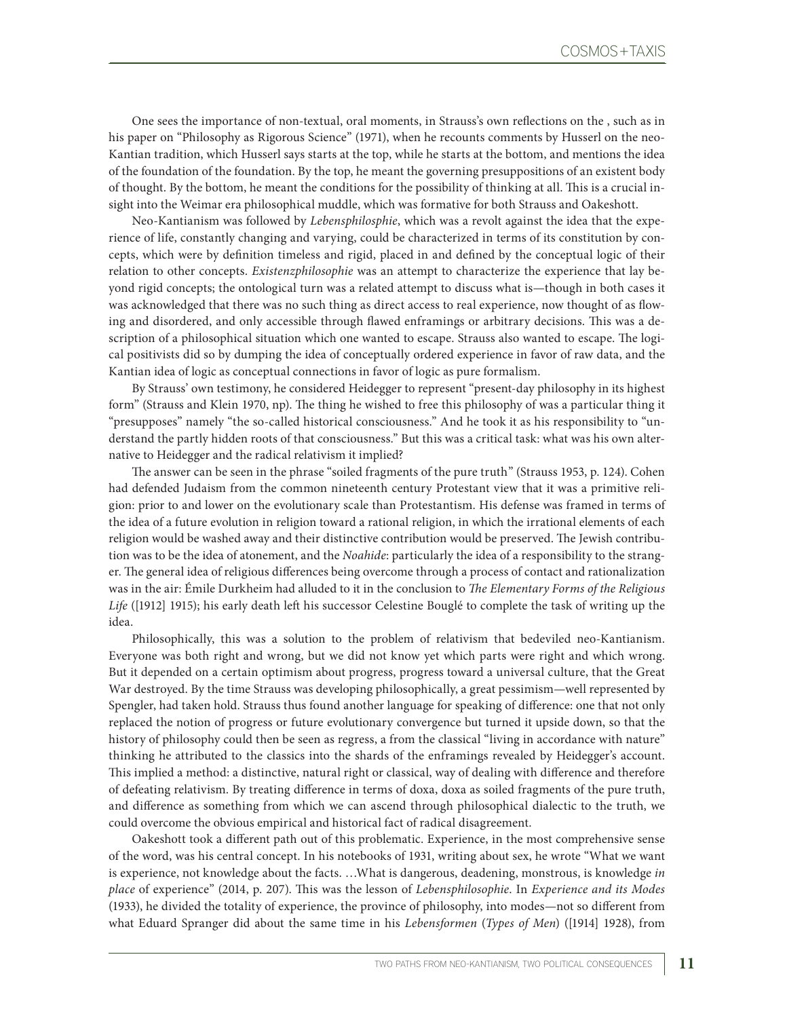One sees the importance of non-textual, oral moments, in Strauss's own reflections on the , such as in his paper on "Philosophy as Rigorous Science" (1971), when he recounts comments by Husserl on the neo-Kantian tradition, which Husserl says starts at the top, while he starts at the bottom, and mentions the idea of the foundation of the foundation. By the top, he meant the governing presuppositions of an existent body of thought. By the bottom, he meant the conditions for the possibility of thinking at all. This is a crucial insight into the Weimar era philosophical muddle, which was formative for both Strauss and Oakeshott.

Neo-Kantianism was followed by *Lebensphilosphie*, which was a revolt against the idea that the experience of life, constantly changing and varying, could be characterized in terms of its constitution by concepts, which were by definition timeless and rigid, placed in and defined by the conceptual logic of their relation to other concepts. *Existenzphilosophie* was an attempt to characterize the experience that lay beyond rigid concepts; the ontological turn was a related attempt to discuss what is—though in both cases it was acknowledged that there was no such thing as direct access to real experience, now thought of as flowing and disordered, and only accessible through flawed enframings or arbitrary decisions. This was a description of a philosophical situation which one wanted to escape. Strauss also wanted to escape. The logical positivists did so by dumping the idea of conceptually ordered experience in favor of raw data, and the Kantian idea of logic as conceptual connections in favor of logic as pure formalism.

By Strauss' own testimony, he considered Heidegger to represent "present-day philosophy in its highest form" (Strauss and Klein 1970, np). The thing he wished to free this philosophy of was a particular thing it "presupposes" namely "the so-called historical consciousness." And he took it as his responsibility to "understand the partly hidden roots of that consciousness." But this was a critical task: what was his own alternative to Heidegger and the radical relativism it implied?

The answer can be seen in the phrase "soiled fragments of the pure truth" (Strauss 1953, p. 124). Cohen had defended Judaism from the common nineteenth century Protestant view that it was a primitive religion: prior to and lower on the evolutionary scale than Protestantism. His defense was framed in terms of the idea of a future evolution in religion toward a rational religion, in which the irrational elements of each religion would be washed away and their distinctive contribution would be preserved. The Jewish contribution was to be the idea of atonement, and the *Noahide*: particularly the idea of a responsibility to the stranger. The general idea of religious differences being overcome through a process of contact and rationalization was in the air: Émile Durkheim had alluded to it in the conclusion to *The Elementary Forms of the Religious Life* ([1912] 1915); his early death left his successor Celestine Bouglé to complete the task of writing up the idea.

Philosophically, this was a solution to the problem of relativism that bedeviled neo-Kantianism. Everyone was both right and wrong, but we did not know yet which parts were right and which wrong. But it depended on a certain optimism about progress, progress toward a universal culture, that the Great War destroyed. By the time Strauss was developing philosophically, a great pessimism—well represented by Spengler, had taken hold. Strauss thus found another language for speaking of difference: one that not only replaced the notion of progress or future evolutionary convergence but turned it upside down, so that the history of philosophy could then be seen as regress, a from the classical "living in accordance with nature" thinking he attributed to the classics into the shards of the enframings revealed by Heidegger's account. This implied a method: a distinctive, natural right or classical, way of dealing with difference and therefore of defeating relativism. By treating difference in terms of doxa, doxa as soiled fragments of the pure truth, and difference as something from which we can ascend through philosophical dialectic to the truth, we could overcome the obvious empirical and historical fact of radical disagreement.

Oakeshott took a different path out of this problematic. Experience, in the most comprehensive sense of the word, was his central concept. In his notebooks of 1931, writing about sex, he wrote "What we want is experience, not knowledge about the facts. …What is dangerous, deadening, monstrous, is knowledge *in place* of experience" (2014, p. 207). This was the lesson of *Lebensphilosophie*. In *Experience and its Modes* (1933), he divided the totality of experience, the province of philosophy, into modes—not so different from what Eduard Spranger did about the same time in his *Lebensformen* (*Types of Men*) ([1914] 1928), from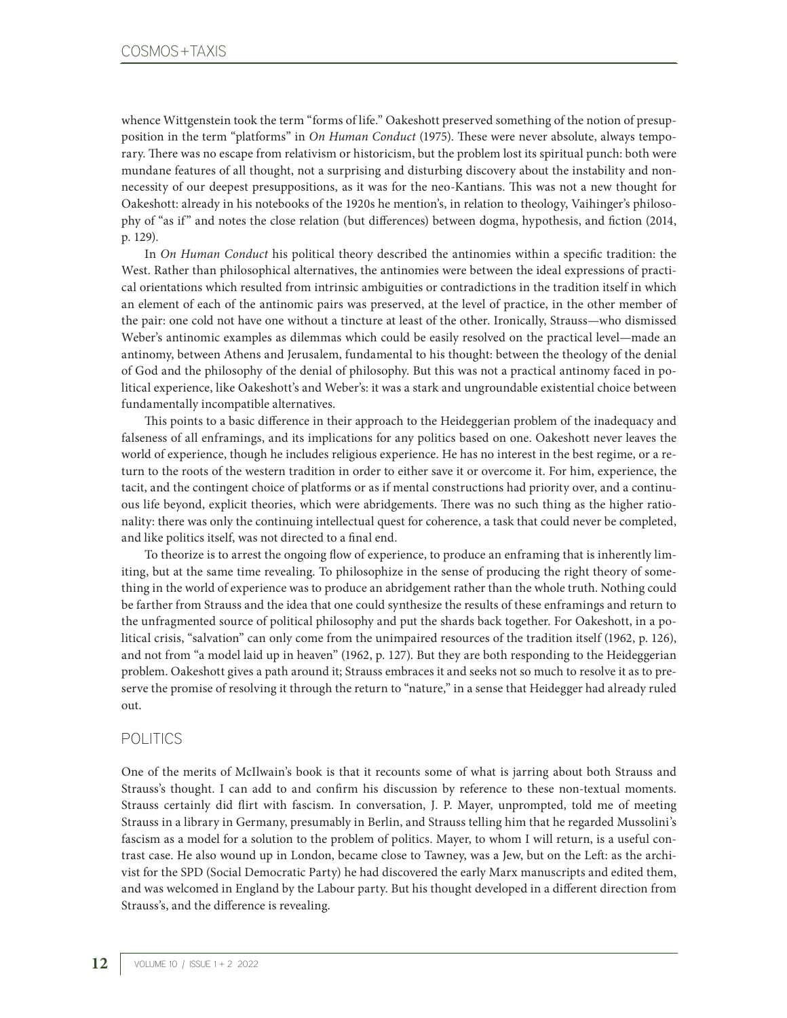whence Wittgenstein took the term "forms of life." Oakeshott preserved something of the notion of presupposition in the term "platforms" in *On Human Conduct* (1975). These were never absolute, always temporary. There was no escape from relativism or historicism, but the problem lost its spiritual punch: both were mundane features of all thought, not a surprising and disturbing discovery about the instability and nonnecessity of our deepest presuppositions, as it was for the neo-Kantians. This was not a new thought for Oakeshott: already in his notebooks of the 1920s he mention's, in relation to theology, Vaihinger's philosophy of "as if" and notes the close relation (but differences) between dogma, hypothesis, and fiction (2014, p. 129).

In *On Human Conduct* his political theory described the antinomies within a specific tradition: the West. Rather than philosophical alternatives, the antinomies were between the ideal expressions of practical orientations which resulted from intrinsic ambiguities or contradictions in the tradition itself in which an element of each of the antinomic pairs was preserved, at the level of practice, in the other member of the pair: one cold not have one without a tincture at least of the other. Ironically, Strauss—who dismissed Weber's antinomic examples as dilemmas which could be easily resolved on the practical level—made an antinomy, between Athens and Jerusalem, fundamental to his thought: between the theology of the denial of God and the philosophy of the denial of philosophy. But this was not a practical antinomy faced in political experience, like Oakeshott's and Weber's: it was a stark and ungroundable existential choice between fundamentally incompatible alternatives.

This points to a basic difference in their approach to the Heideggerian problem of the inadequacy and falseness of all enframings, and its implications for any politics based on one. Oakeshott never leaves the world of experience, though he includes religious experience. He has no interest in the best regime, or a return to the roots of the western tradition in order to either save it or overcome it. For him, experience, the tacit, and the contingent choice of platforms or as if mental constructions had priority over, and a continuous life beyond, explicit theories, which were abridgements. There was no such thing as the higher rationality: there was only the continuing intellectual quest for coherence, a task that could never be completed, and like politics itself, was not directed to a final end.

To theorize is to arrest the ongoing flow of experience, to produce an enframing that is inherently limiting, but at the same time revealing. To philosophize in the sense of producing the right theory of something in the world of experience was to produce an abridgement rather than the whole truth. Nothing could be farther from Strauss and the idea that one could synthesize the results of these enframings and return to the unfragmented source of political philosophy and put the shards back together. For Oakeshott, in a political crisis, "salvation" can only come from the unimpaired resources of the tradition itself (1962, p. 126), and not from "a model laid up in heaven" (1962, p. 127). But they are both responding to the Heideggerian problem. Oakeshott gives a path around it; Strauss embraces it and seeks not so much to resolve it as to preserve the promise of resolving it through the return to "nature," in a sense that Heidegger had already ruled out.

## POLITICS

One of the merits of McIlwain's book is that it recounts some of what is jarring about both Strauss and Strauss's thought. I can add to and confirm his discussion by reference to these non-textual moments. Strauss certainly did flirt with fascism. In conversation, J. P. Mayer, unprompted, told me of meeting Strauss in a library in Germany, presumably in Berlin, and Strauss telling him that he regarded Mussolini's fascism as a model for a solution to the problem of politics. Mayer, to whom I will return, is a useful contrast case. He also wound up in London, became close to Tawney, was a Jew, but on the Left: as the archivist for the SPD (Social Democratic Party) he had discovered the early Marx manuscripts and edited them, and was welcomed in England by the Labour party. But his thought developed in a different direction from Strauss's, and the difference is revealing.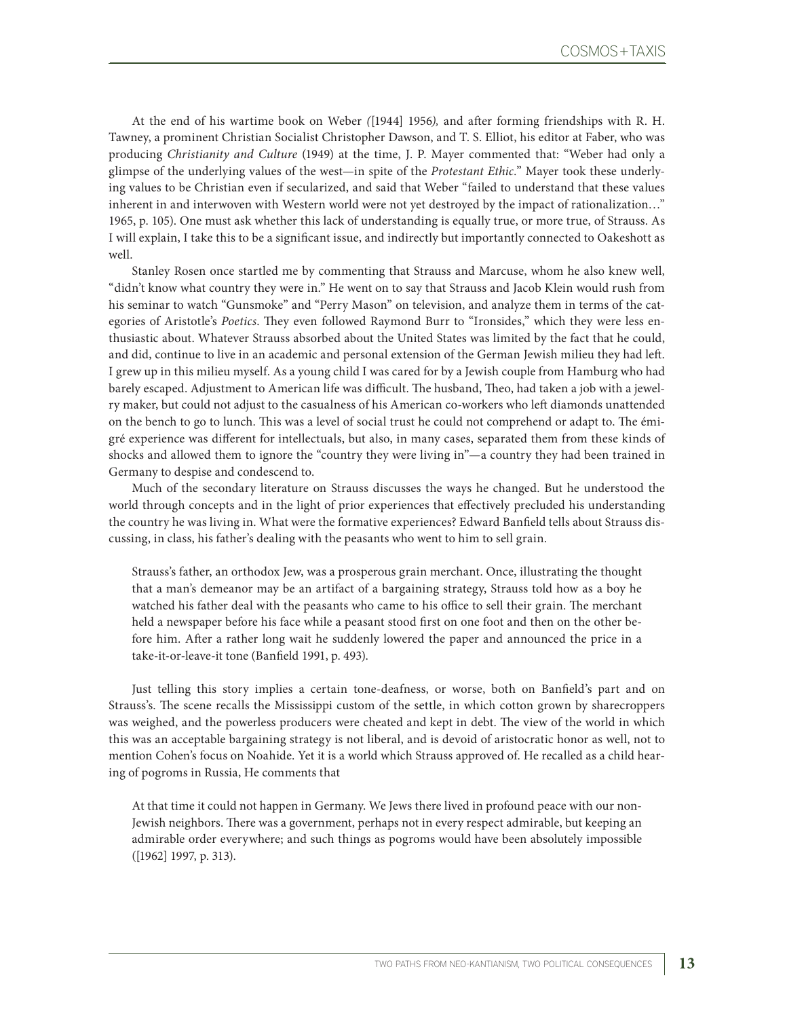At the end of his wartime book on Weber *(*[1944] 1956*),* and after forming friendships with R. H. Tawney, a prominent Christian Socialist Christopher Dawson, and T. S. Elliot, his editor at Faber, who was producing *Christianity and Culture* (1949) at the time, J. P. Mayer commented that: "Weber had only a glimpse of the underlying values of the west—in spite of the *Protestant Ethic.*" Mayer took these underlying values to be Christian even if secularized, and said that Weber "failed to understand that these values inherent in and interwoven with Western world were not yet destroyed by the impact of rationalization…" 1965, p. 105). One must ask whether this lack of understanding is equally true, or more true, of Strauss. As I will explain, I take this to be a significant issue, and indirectly but importantly connected to Oakeshott as well.

Stanley Rosen once startled me by commenting that Strauss and Marcuse, whom he also knew well, "didn't know what country they were in." He went on to say that Strauss and Jacob Klein would rush from his seminar to watch "Gunsmoke" and "Perry Mason" on television, and analyze them in terms of the categories of Aristotle's *Poetics*. They even followed Raymond Burr to "Ironsides," which they were less enthusiastic about. Whatever Strauss absorbed about the United States was limited by the fact that he could, and did, continue to live in an academic and personal extension of the German Jewish milieu they had left. I grew up in this milieu myself. As a young child I was cared for by a Jewish couple from Hamburg who had barely escaped. Adjustment to American life was difficult. The husband, Theo, had taken a job with a jewelry maker, but could not adjust to the casualness of his American co-workers who left diamonds unattended on the bench to go to lunch. This was a level of social trust he could not comprehend or adapt to. The émigré experience was different for intellectuals, but also, in many cases, separated them from these kinds of shocks and allowed them to ignore the "country they were living in"—a country they had been trained in Germany to despise and condescend to.

Much of the secondary literature on Strauss discusses the ways he changed. But he understood the world through concepts and in the light of prior experiences that effectively precluded his understanding the country he was living in. What were the formative experiences? Edward Banfield tells about Strauss discussing, in class, his father's dealing with the peasants who went to him to sell grain.

Strauss's father, an orthodox Jew, was a prosperous grain merchant. Once, illustrating the thought that a man's demeanor may be an artifact of a bargaining strategy, Strauss told how as a boy he watched his father deal with the peasants who came to his office to sell their grain. The merchant held a newspaper before his face while a peasant stood first on one foot and then on the other before him. After a rather long wait he suddenly lowered the paper and announced the price in a take-it-or-leave-it tone (Banfield 1991, p. 493).

Just telling this story implies a certain tone-deafness, or worse, both on Banfield's part and on Strauss's. The scene recalls the Mississippi custom of the settle, in which cotton grown by sharecroppers was weighed, and the powerless producers were cheated and kept in debt. The view of the world in which this was an acceptable bargaining strategy is not liberal, and is devoid of aristocratic honor as well, not to mention Cohen's focus on Noahide. Yet it is a world which Strauss approved of. He recalled as a child hearing of pogroms in Russia, He comments that

At that time it could not happen in Germany. We Jews there lived in profound peace with our non-Jewish neighbors. There was a government, perhaps not in every respect admirable, but keeping an admirable order everywhere; and such things as pogroms would have been absolutely impossible ([1962] 1997, p. 313).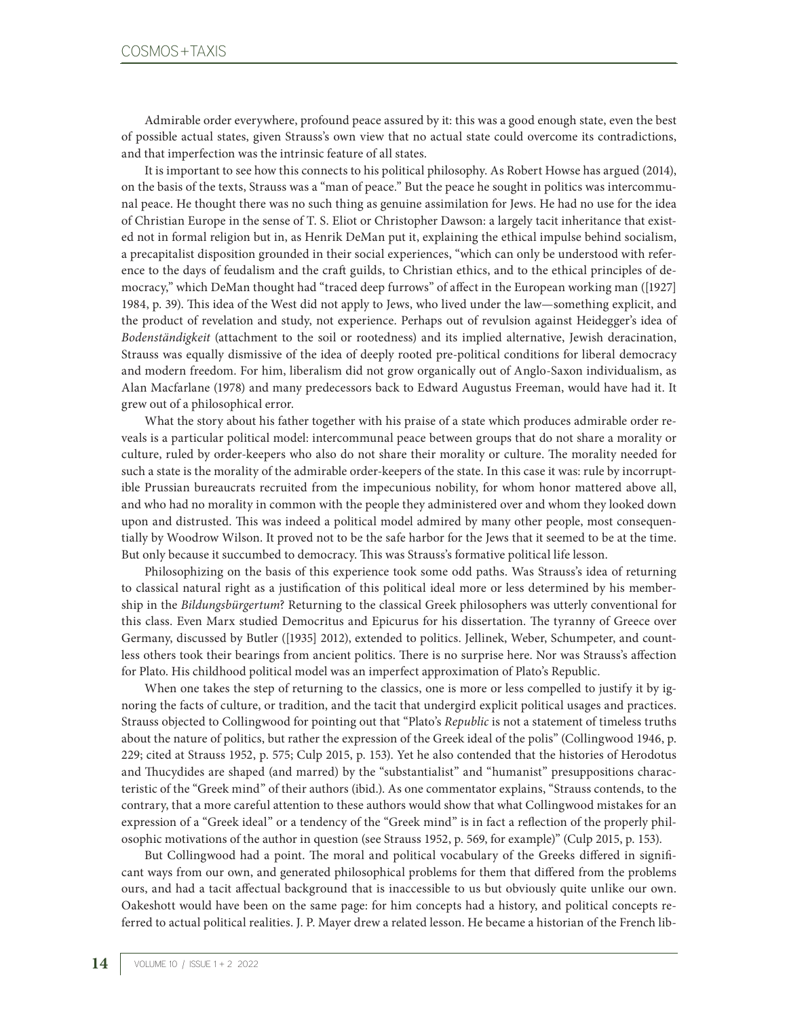Admirable order everywhere, profound peace assured by it: this was a good enough state, even the best of possible actual states, given Strauss's own view that no actual state could overcome its contradictions, and that imperfection was the intrinsic feature of all states.

It is important to see how this connects to his political philosophy. As Robert Howse has argued (2014), on the basis of the texts, Strauss was a "man of peace." But the peace he sought in politics was intercommunal peace. He thought there was no such thing as genuine assimilation for Jews. He had no use for the idea of Christian Europe in the sense of T. S. Eliot or Christopher Dawson: a largely tacit inheritance that existed not in formal religion but in, as Henrik DeMan put it, explaining the ethical impulse behind socialism, a precapitalist disposition grounded in their social experiences, "which can only be understood with reference to the days of feudalism and the craft guilds, to Christian ethics, and to the ethical principles of democracy," which DeMan thought had "traced deep furrows" of affect in the European working man ([1927] 1984, p. 39). This idea of the West did not apply to Jews, who lived under the law—something explicit, and the product of revelation and study, not experience. Perhaps out of revulsion against Heidegger's idea of *Bodenständigkeit* (attachment to the soil or rootedness) and its implied alternative, Jewish deracination, Strauss was equally dismissive of the idea of deeply rooted pre-political conditions for liberal democracy and modern freedom. For him, liberalism did not grow organically out of Anglo-Saxon individualism, as Alan Macfarlane (1978) and many predecessors back to Edward Augustus Freeman, would have had it. It grew out of a philosophical error.

What the story about his father together with his praise of a state which produces admirable order reveals is a particular political model: intercommunal peace between groups that do not share a morality or culture, ruled by order-keepers who also do not share their morality or culture. The morality needed for such a state is the morality of the admirable order-keepers of the state. In this case it was: rule by incorruptible Prussian bureaucrats recruited from the impecunious nobility, for whom honor mattered above all, and who had no morality in common with the people they administered over and whom they looked down upon and distrusted. This was indeed a political model admired by many other people, most consequentially by Woodrow Wilson. It proved not to be the safe harbor for the Jews that it seemed to be at the time. But only because it succumbed to democracy. This was Strauss's formative political life lesson.

Philosophizing on the basis of this experience took some odd paths. Was Strauss's idea of returning to classical natural right as a justification of this political ideal more or less determined by his membership in the *Bildungsbürgertum*? Returning to the classical Greek philosophers was utterly conventional for this class. Even Marx studied Democritus and Epicurus for his dissertation. The tyranny of Greece over Germany, discussed by Butler ([1935] 2012), extended to politics. Jellinek, Weber, Schumpeter, and countless others took their bearings from ancient politics. There is no surprise here. Nor was Strauss's affection for Plato. His childhood political model was an imperfect approximation of Plato's Republic.

When one takes the step of returning to the classics, one is more or less compelled to justify it by ignoring the facts of culture, or tradition, and the tacit that undergird explicit political usages and practices. Strauss objected to Collingwood for pointing out that "Plato's *Republic* is not a statement of timeless truths about the nature of politics, but rather the expression of the Greek ideal of the polis" (Collingwood 1946, p. 229; cited at Strauss 1952, p. 575; Culp 2015, p. 153). Yet he also contended that the histories of Herodotus and Thucydides are shaped (and marred) by the "substantialist" and "humanist" presuppositions characteristic of the "Greek mind" of their authors (ibid.). As one commentator explains, "Strauss contends, to the contrary, that a more careful attention to these authors would show that what Collingwood mistakes for an expression of a "Greek ideal" or a tendency of the "Greek mind" is in fact a reflection of the properly philosophic motivations of the author in question (see Strauss 1952, p. 569, for example)" (Culp 2015, p. 153).

But Collingwood had a point. The moral and political vocabulary of the Greeks differed in significant ways from our own, and generated philosophical problems for them that differed from the problems ours, and had a tacit affectual background that is inaccessible to us but obviously quite unlike our own. Oakeshott would have been on the same page: for him concepts had a history, and political concepts referred to actual political realities. J. P. Mayer drew a related lesson. He became a historian of the French lib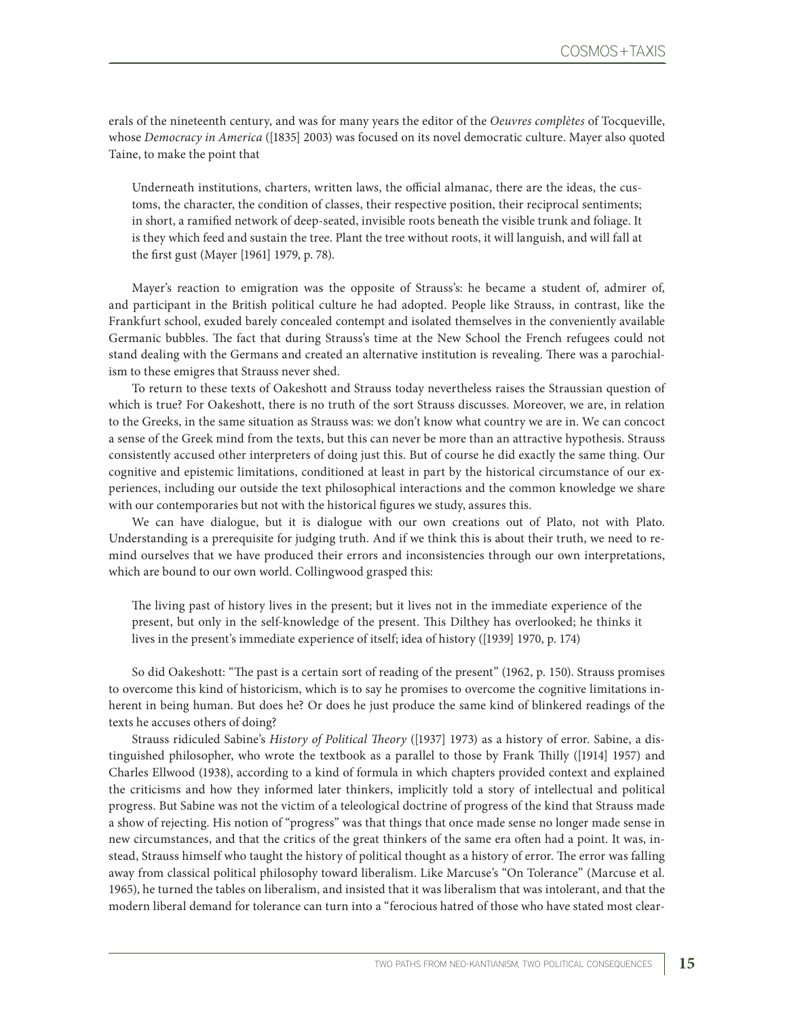erals of the nineteenth century, and was for many years the editor of the *Oeuvres complètes* of Tocqueville, whose *Democracy in America* ([1835] 2003) was focused on its novel democratic culture. Mayer also quoted Taine, to make the point that

Underneath institutions, charters, written laws, the official almanac, there are the ideas, the customs, the character, the condition of classes, their respective position, their reciprocal sentiments; in short, a ramified network of deep-seated, invisible roots beneath the visible trunk and foliage. It is they which feed and sustain the tree. Plant the tree without roots, it will languish, and will fall at the first gust (Mayer [1961] 1979, p. 78).

Mayer's reaction to emigration was the opposite of Strauss's: he became a student of, admirer of, and participant in the British political culture he had adopted. People like Strauss, in contrast, like the Frankfurt school, exuded barely concealed contempt and isolated themselves in the conveniently available Germanic bubbles. The fact that during Strauss's time at the New School the French refugees could not stand dealing with the Germans and created an alternative institution is revealing. There was a parochialism to these emigres that Strauss never shed.

To return to these texts of Oakeshott and Strauss today nevertheless raises the Straussian question of which is true? For Oakeshott, there is no truth of the sort Strauss discusses. Moreover, we are, in relation to the Greeks, in the same situation as Strauss was: we don't know what country we are in. We can concoct a sense of the Greek mind from the texts, but this can never be more than an attractive hypothesis. Strauss consistently accused other interpreters of doing just this. But of course he did exactly the same thing. Our cognitive and epistemic limitations, conditioned at least in part by the historical circumstance of our experiences, including our outside the text philosophical interactions and the common knowledge we share with our contemporaries but not with the historical figures we study, assures this.

We can have dialogue, but it is dialogue with our own creations out of Plato, not with Plato. Understanding is a prerequisite for judging truth. And if we think this is about their truth, we need to remind ourselves that we have produced their errors and inconsistencies through our own interpretations, which are bound to our own world. Collingwood grasped this:

The living past of history lives in the present; but it lives not in the immediate experience of the present, but only in the self-knowledge of the present. This Dilthey has overlooked; he thinks it lives in the present's immediate experience of itself; idea of history ([1939] 1970, p. 174)

So did Oakeshott: "The past is a certain sort of reading of the present" (1962, p. 150). Strauss promises to overcome this kind of historicism, which is to say he promises to overcome the cognitive limitations inherent in being human. But does he? Or does he just produce the same kind of blinkered readings of the texts he accuses others of doing?

Strauss ridiculed Sabine's *History of Political Theory* ([1937] 1973) as a history of error. Sabine, a distinguished philosopher, who wrote the textbook as a parallel to those by Frank Thilly ([1914] 1957) and Charles Ellwood (1938), according to a kind of formula in which chapters provided context and explained the criticisms and how they informed later thinkers, implicitly told a story of intellectual and political progress. But Sabine was not the victim of a teleological doctrine of progress of the kind that Strauss made a show of rejecting. His notion of "progress" was that things that once made sense no longer made sense in new circumstances, and that the critics of the great thinkers of the same era often had a point. It was, instead, Strauss himself who taught the history of political thought as a history of error. The error was falling away from classical political philosophy toward liberalism. Like Marcuse's "On Tolerance" (Marcuse et al. 1965), he turned the tables on liberalism, and insisted that it was liberalism that was intolerant, and that the modern liberal demand for tolerance can turn into a "ferocious hatred of those who have stated most clear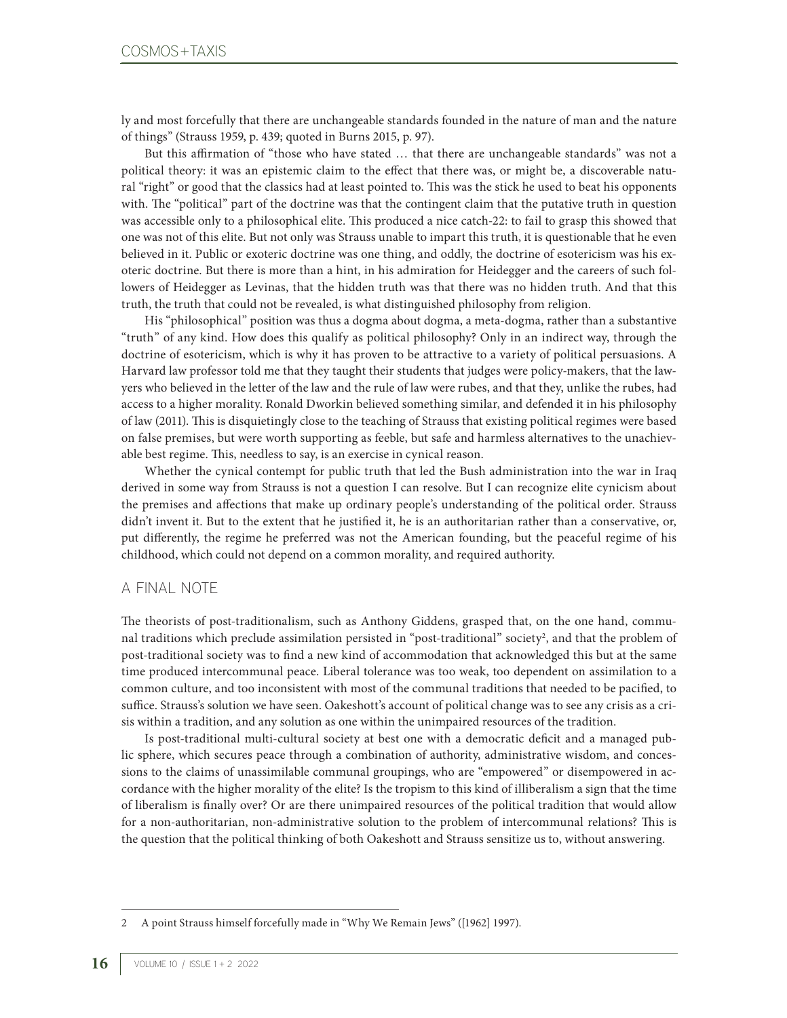ly and most forcefully that there are unchangeable standards founded in the nature of man and the nature of things" (Strauss 1959, p. 439; quoted in Burns 2015, p. 97).

But this affirmation of "those who have stated … that there are unchangeable standards" was not a political theory: it was an epistemic claim to the effect that there was, or might be, a discoverable natural "right" or good that the classics had at least pointed to. This was the stick he used to beat his opponents with. The "political" part of the doctrine was that the contingent claim that the putative truth in question was accessible only to a philosophical elite. This produced a nice catch-22: to fail to grasp this showed that one was not of this elite. But not only was Strauss unable to impart this truth, it is questionable that he even believed in it. Public or exoteric doctrine was one thing, and oddly, the doctrine of esotericism was his exoteric doctrine. But there is more than a hint, in his admiration for Heidegger and the careers of such followers of Heidegger as Levinas, that the hidden truth was that there was no hidden truth. And that this truth, the truth that could not be revealed, is what distinguished philosophy from religion.

His "philosophical" position was thus a dogma about dogma, a meta-dogma, rather than a substantive "truth" of any kind. How does this qualify as political philosophy? Only in an indirect way, through the doctrine of esotericism, which is why it has proven to be attractive to a variety of political persuasions. A Harvard law professor told me that they taught their students that judges were policy-makers, that the lawyers who believed in the letter of the law and the rule of law were rubes, and that they, unlike the rubes, had access to a higher morality. Ronald Dworkin believed something similar, and defended it in his philosophy of law (2011). This is disquietingly close to the teaching of Strauss that existing political regimes were based on false premises, but were worth supporting as feeble, but safe and harmless alternatives to the unachievable best regime. This, needless to say, is an exercise in cynical reason.

Whether the cynical contempt for public truth that led the Bush administration into the war in Iraq derived in some way from Strauss is not a question I can resolve. But I can recognize elite cynicism about the premises and affections that make up ordinary people's understanding of the political order. Strauss didn't invent it. But to the extent that he justified it, he is an authoritarian rather than a conservative, or, put differently, the regime he preferred was not the American founding, but the peaceful regime of his childhood, which could not depend on a common morality, and required authority.

## A FINAL NOTE

The theorists of post-traditionalism, such as Anthony Giddens, grasped that, on the one hand, communal traditions which preclude assimilation persisted in "post-traditional" society<sup>2</sup>, and that the problem of post-traditional society was to find a new kind of accommodation that acknowledged this but at the same time produced intercommunal peace. Liberal tolerance was too weak, too dependent on assimilation to a common culture, and too inconsistent with most of the communal traditions that needed to be pacified, to suffice. Strauss's solution we have seen. Oakeshott's account of political change was to see any crisis as a crisis within a tradition, and any solution as one within the unimpaired resources of the tradition.

Is post-traditional multi-cultural society at best one with a democratic deficit and a managed public sphere, which secures peace through a combination of authority, administrative wisdom, and concessions to the claims of unassimilable communal groupings, who are "empowered" or disempowered in accordance with the higher morality of the elite? Is the tropism to this kind of illiberalism a sign that the time of liberalism is finally over? Or are there unimpaired resources of the political tradition that would allow for a non-authoritarian, non-administrative solution to the problem of intercommunal relations? This is the question that the political thinking of both Oakeshott and Strauss sensitize us to, without answering.

<sup>2</sup> A point Strauss himself forcefully made in "Why We Remain Jews" ([1962] 1997).